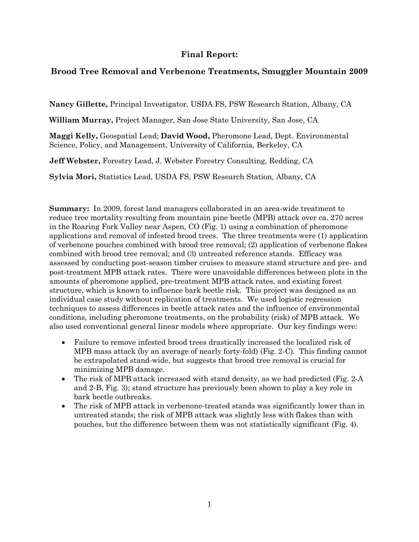# **Final Report:**

# **Brood Tree Removal and Verbenone Treatments, Smuggler Mountain 2009**

**Nancy Gillette,** Principal Investigator, USDA FS, PSW Research Station, Albany, CA

**William Murray,** Project Manager, San Jose State University, San Jose, CA

**Maggi Kelly,** Geospatial Lead; **David Wood,** Pheromone Lead, Dept. Environmental Science, Policy, and Management, University of California, Berkeley, CA

**Jeff Webster,** Forestry Lead, J. Webster Forestry Consulting, Redding, CA

**Sylvia Mori,** Statistics Lead, USDA FS, PSW Research Station, Albany, CA

**Summary:** In 2009, forest land managers collaborated in an area-wide treatment to reduce tree mortality resulting from mountain pine beetle (MPB) attack over ca. 270 acres in the Roaring Fork Valley near Aspen, CO (Fig. 1) using a combination of pheromone applications and removal of infested brood trees. The three treatments were (1) application of verbenone pouches combined with brood tree removal; (2) application of verbenone flakes combined with brood tree removal; and (3) untreated reference stands. Efficacy was assessed by conducting post-season timber cruises to measure stand structure and pre- and post-treatment MPB attack rates. There were unavoidable differences between plots in the amounts of pheromone applied, pre-treatment MPB attack rates, and existing forest structure, which is known to influence bark beetle risk. This project was designed as an individual case study without replication of treatments. We used logistic regression techniques to assess differences in beetle attack rates and the influence of environmental conditions, including pheromone treatments, on the probability (risk) of MPB attack. We also used conventional general linear models where appropriate. Our key findings were:

- Failure to remove infested brood trees drastically increased the localized risk of MPB mass attack (by an average of nearly forty-fold) (Fig. 2-C). This finding cannot be extrapolated stand-wide, but suggests that brood tree removal is crucial for minimizing MPB damage.
- The risk of MPB attack increased with stand density, as we had predicted (Fig. 2-A) and 2-B, Fig. 3); stand structure has previously been shown to play a key role in bark beetle outbreaks.
- The risk of MPB attack in verbenone-treated stands was significantly lower than in untreated stands; the risk of MPB attack was slightly less with flakes than with pouches, but the difference between them was not statistically significant (Fig. 4).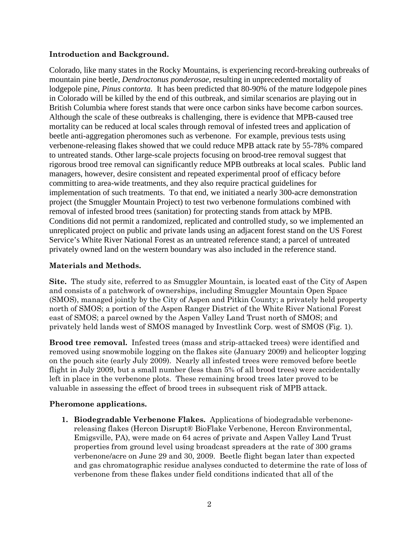### **Introduction and Background.**

Colorado, like many states in the Rocky Mountains, is experiencing record-breaking outbreaks of mountain pine beetle, *Dendroctonus ponderosae,* resulting in unprecedented mortality of lodgepole pine, *Pinus contorta.* It has been predicted that 80-90% of the mature lodgepole pines in Colorado will be killed by the end of this outbreak, and similar scenarios are playing out in British Columbia where forest stands that were once carbon sinks have become carbon sources. Although the scale of these outbreaks is challenging, there is evidence that MPB-caused tree mortality can be reduced at local scales through removal of infested trees and application of beetle anti-aggregation pheromones such as verbenone. For example, previous tests using verbenone-releasing flakes showed that we could reduce MPB attack rate by 55-78% compared to untreated stands. Other large-scale projects focusing on brood-tree removal suggest that rigorous brood tree removal can significantly reduce MPB outbreaks at local scales. Public land managers, however, desire consistent and repeated experimental proof of efficacy before committing to area-wide treatments, and they also require practical guidelines for implementation of such treatments. To that end, we initiated a nearly 300-acre demonstration project (the Smuggler Mountain Project) to test two verbenone formulations combined with removal of infested brood trees (sanitation) for protecting stands from attack by MPB. Conditions did not permit a randomized, replicated and controlled study, so we implemented an unreplicated project on public and private lands using an adjacent forest stand on the US Forest Service's White River National Forest as an untreated reference stand; a parcel of untreated privately owned land on the western boundary was also included in the reference stand.

### **Materials and Methods.**

**Site.** The study site, referred to as Smuggler Mountain, is located east of the City of Aspen and consists of a patchwork of ownerships, including Smuggler Mountain Open Space (SMOS), managed jointly by the City of Aspen and Pitkin County; a privately held property north of SMOS; a portion of the Aspen Ranger District of the White River National Forest east of SMOS; a parcel owned by the Aspen Valley Land Trust north of SMOS; and privately held lands west of SMOS managed by Investlink Corp. west of SMOS (Fig. 1).

**Brood tree removal.** Infested trees (mass and strip-attacked trees) were identified and removed using snowmobile logging on the flakes site (January 2009) and helicopter logging on the pouch site (early July 2009). Nearly all infested trees were removed before beetle flight in July 2009, but a small number (less than 5% of all brood trees) were accidentally left in place in the verbenone plots. These remaining brood trees later proved to be valuable in assessing the effect of brood trees in subsequent risk of MPB attack.

#### **Pheromone applications.**

**1. Biodegradable Verbenone Flakes.** Applications of biodegradable verbenonereleasing flakes (Hercon Disrupt® BioFlake Verbenone, Hercon Environmental, Emigsville, PA), were made on 64 acres of private and Aspen Valley Land Trust properties from ground level using broadcast spreaders at the rate of 300 grams verbenone/acre on June 29 and 30, 2009. Beetle flight began later than expected and gas chromatographic residue analyses conducted to determine the rate of loss of verbenone from these flakes under field conditions indicated that all of the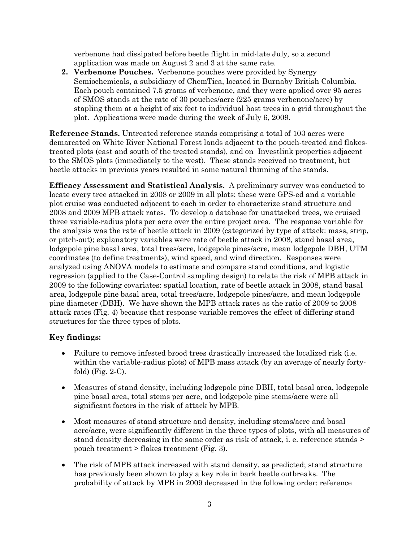verbenone had dissipated before beetle flight in mid-late July, so a second application was made on August 2 and 3 at the same rate.

**2. Verbenone Pouches.** Verbenone pouches were provided by Synergy Semiochemicals, a subsidiary of ChemTica, located in Burnaby British Columbia. Each pouch contained 7.5 grams of verbenone, and they were applied over 95 acres of SMOS stands at the rate of 30 pouches/acre (225 grams verbenone/acre) by stapling them at a height of six feet to individual host trees in a grid throughout the plot. Applications were made during the week of July 6, 2009.

**Reference Stands.** Untreated reference stands comprising a total of 103 acres were demarcated on White River National Forest lands adjacent to the pouch-treated and flakestreated plots (east and south of the treated stands), and on Investlink properties adjacent to the SMOS plots (immediately to the west). These stands received no treatment, but beetle attacks in previous years resulted in some natural thinning of the stands.

**Efficacy Assessment and Statistical Analysis.** A preliminary survey was conducted to locate every tree attacked in 2008 or 2009 in all plots; these were GPS-ed and a variable plot cruise was conducted adjacent to each in order to characterize stand structure and 2008 and 2009 MPB attack rates. To develop a database for unattacked trees, we cruised three variable-radius plots per acre over the entire project area. The response variable for the analysis was the rate of beetle attack in 2009 (categorized by type of attack: mass, strip, or pitch-out); explanatory variables were rate of beetle attack in 2008, stand basal area, lodgepole pine basal area, total trees/acre, lodgepole pines/acre, mean lodgepole DBH, UTM coordinates (to define treatments), wind speed, and wind direction. Responses were analyzed using ANOVA models to estimate and compare stand conditions, and logistic regression (applied to the Case-Control sampling design) to relate the risk of MPB attack in 2009 to the following covariates: spatial location, rate of beetle attack in 2008, stand basal area, lodgepole pine basal area, total trees/acre, lodgepole pines/acre, and mean lodgepole pine diameter (DBH). We have shown the MPB attack rates as the ratio of 2009 to 2008 attack rates (Fig. 4) because that response variable removes the effect of differing stand structures for the three types of plots.

## **Key findings:**

- Failure to remove infested brood trees drastically increased the localized risk (i.e. within the variable-radius plots) of MPB mass attack (by an average of nearly fortyfold) (Fig. 2-C).
- Measures of stand density, including lodgepole pine DBH, total basal area, lodgepole pine basal area, total stems per acre, and lodgepole pine stems/acre were all significant factors in the risk of attack by MPB.
- Most measures of stand structure and density, including stems/acre and basal acre/acre, were significantly different in the three types of plots, with all measures of stand density decreasing in the same order as risk of attack, i. e. reference stands > pouch treatment > flakes treatment (Fig. 3).
- The risk of MPB attack increased with stand density, as predicted; stand structure has previously been shown to play a key role in bark beetle outbreaks. The probability of attack by MPB in 2009 decreased in the following order: reference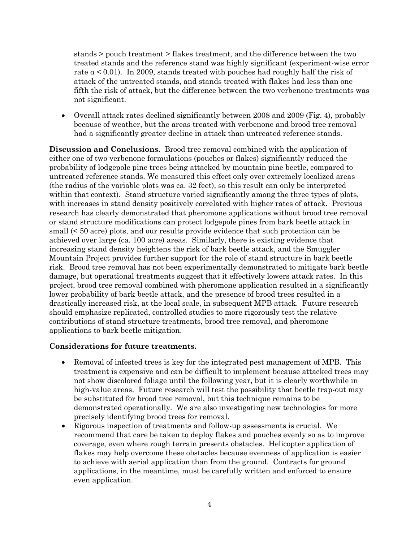stands > pouch treatment > flakes treatment, and the difference between the two treated stands and the reference stand was highly significant (experiment-wise error rate  $\alpha$  < 0.01). In 2009, stands treated with pouches had roughly half the risk of attack of the untreated stands, and stands treated with flakes had less than one fifth the risk of attack, but the difference between the two verbenone treatments was not significant.

• Overall attack rates declined significantly between 2008 and 2009 (Fig. 4), probably because of weather, but the areas treated with verbenone and brood tree removal had a significantly greater decline in attack than untreated reference stands.

**Discussion and Conclusions.** Brood tree removal combined with the application of either one of two verbenone formulations (pouches or flakes) significantly reduced the probability of lodgepole pine trees being attacked by mountain pine beetle, compared to untreated reference stands. We measured this effect only over extremely localized areas (the radius of the variable plots was ca. 32 feet), so this result can only be interpreted within that context). Stand structure varied significantly among the three types of plots, with increases in stand density positively correlated with higher rates of attack. Previous research has clearly demonstrated that pheromone applications without brood tree removal or stand structure modifications can protect lodgepole pines from bark beetle attack in small (< 50 acre) plots, and our results provide evidence that such protection can be achieved over large (ca. 100 acre) areas. Similarly, there is existing evidence that increasing stand density heightens the risk of bark beetle attack, and the Smuggler Mountain Project provides further support for the role of stand structure in bark beetle risk. Brood tree removal has not been experimentally demonstrated to mitigate bark beetle damage, but operational treatments suggest that it effectively lowers attack rates. In this project, brood tree removal combined with pheromone application resulted in a significantly lower probability of bark beetle attack, and the presence of brood trees resulted in a drastically increased risk, at the local scale, in subsequent MPB attack. Future research should emphasize replicated, controlled studies to more rigorously test the relative contributions of stand structure treatments, brood tree removal, and pheromone applications to bark beetle mitigation.

#### **Considerations for future treatments.**

- Removal of infested trees is key for the integrated pest management of MPB. This treatment is expensive and can be difficult to implement because attacked trees may not show discolored foliage until the following year, but it is clearly worthwhile in high-value areas. Future research will test the possibility that beetle trap-out may be substituted for brood tree removal, but this technique remains to be demonstrated operationally. We are also investigating new technologies for more precisely identifying brood trees for removal.
- Rigorous inspection of treatments and follow-up assessments is crucial. We recommend that care be taken to deploy flakes and pouches evenly so as to improve coverage, even where rough terrain presents obstacles. Helicopter application of flakes may help overcome these obstacles because evenness of application is easier to achieve with aerial application than from the ground. Contracts for ground applications, in the meantime, must be carefully written and enforced to ensure even application.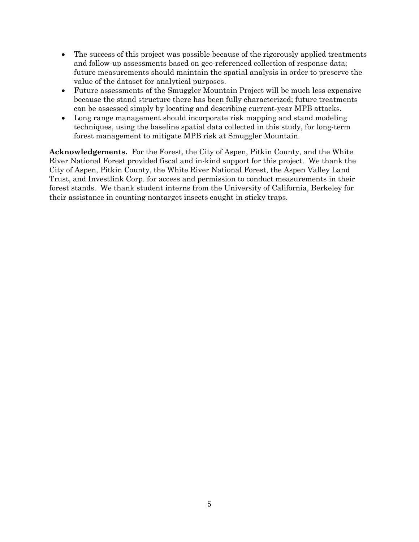- The success of this project was possible because of the rigorously applied treatments and follow-up assessments based on geo-referenced collection of response data; future measurements should maintain the spatial analysis in order to preserve the value of the dataset for analytical purposes.
- Future assessments of the Smuggler Mountain Project will be much less expensive because the stand structure there has been fully characterized; future treatments can be assessed simply by locating and describing current-year MPB attacks.
- Long range management should incorporate risk mapping and stand modeling techniques, using the baseline spatial data collected in this study, for long-term forest management to mitigate MPB risk at Smuggler Mountain.

**Acknowledgements.** For the Forest, the City of Aspen, Pitkin County, and the White River National Forest provided fiscal and in-kind support for this project. We thank the City of Aspen, Pitkin County, the White River National Forest, the Aspen Valley Land Trust, and Investlink Corp. for access and permission to conduct measurements in their forest stands. We thank student interns from the University of California, Berkeley for their assistance in counting nontarget insects caught in sticky traps.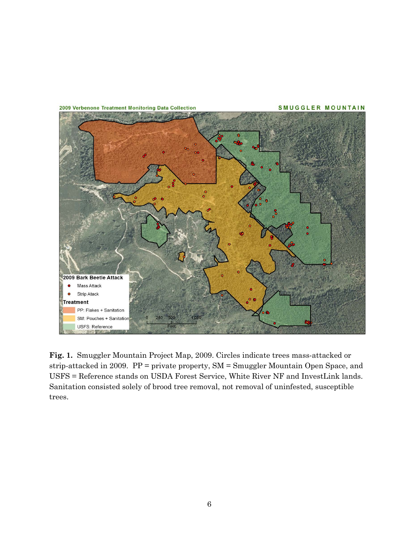

**Fig. 1.** Smuggler Mountain Project Map, 2009. Circles indicate trees mass-attacked or strip-attacked in 2009. PP = private property, SM = Smuggler Mountain Open Space, and USFS = Reference stands on USDA Forest Service, White River NF and InvestLink lands. Sanitation consisted solely of brood tree removal, not removal of uninfested, susceptible trees.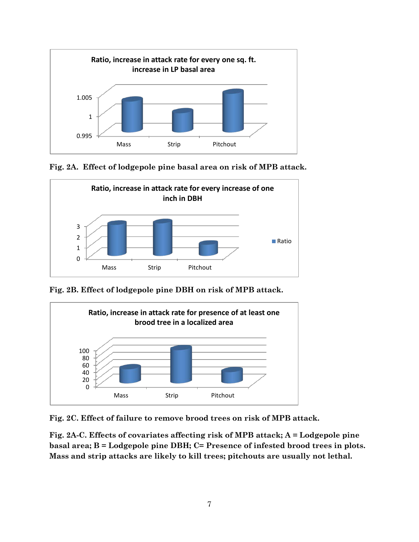

**Fig. 2A. Effect of lodgepole pine basal area on risk of MPB attack.** 



**Fig. 2B. Effect of lodgepole pine DBH on risk of MPB attack.**



**Fig. 2C. Effect of failure to remove brood trees on risk of MPB attack.**

**Fig. 2A-C. Effects of covariates affecting risk of MPB attack; A = Lodgepole pine basal area; B = Lodgepole pine DBH; C= Presence of infested brood trees in plots. Mass and strip attacks are likely to kill trees; pitchouts are usually not lethal.**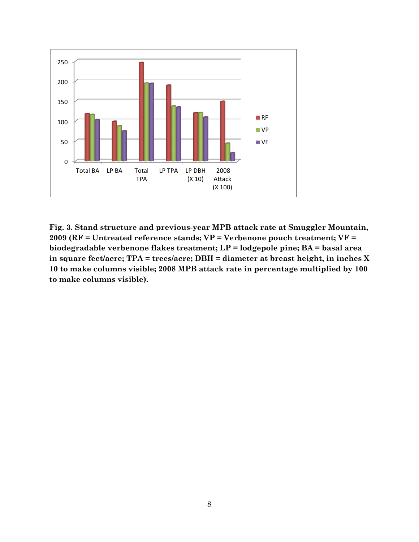

**Fig. 3. Stand structure and previous-year MPB attack rate at Smuggler Mountain, 2009 (RF = Untreated reference stands; VP = Verbenone pouch treatment; VF = biodegradable verbenone flakes treatment; LP = lodgepole pine; BA = basal area in square feet/acre; TPA = trees/acre; DBH = diameter at breast height, in inches X 10 to make columns visible; 2008 MPB attack rate in percentage multiplied by 100 to make columns visible).**